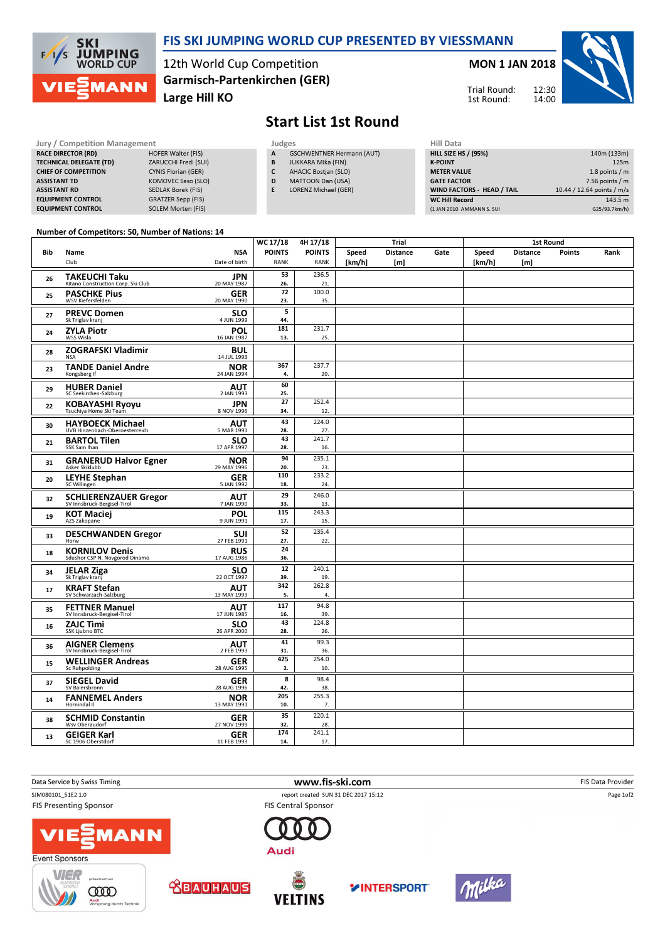

## FIS SKI JUMPING WORLD CUP PRESENTED BY VIESSMANN

12th World Cup Competition Large Hill KO Garmisch-Partenkirchen (GER)

MON 1 JAN 2018



Trial Round: 1st Round:

# Start List 1st Round

| <b>Jury / Competition Management</b> |                           |  | Judges | <b>Hill Data</b>                 |  |                    |
|--------------------------------------|---------------------------|--|--------|----------------------------------|--|--------------------|
| <b>RACE DIRECTOR (RD)</b>            | <b>HOFER Walter (FIS)</b> |  | A      | <b>GSCHWENTNER Hermann (AUT)</b> |  | <b>HILL SIZE H</b> |
| <b>TECHNICAL DELEGATE (TD)</b>       | ZARUCCHI Fredi (SUI)      |  | B      | <b>JUKKARA Mika (FIN)</b>        |  | <b>K-POINT</b>     |
| <b>CHIEF OF COMPETITION</b>          | CYNIS Florian (GER)       |  |        | <b>AHACIC Bostian (SLO)</b>      |  | <b>METER VAI</b>   |
| <b>ASSISTANT TD</b>                  | KOMOVEC Saso (SLO)        |  | D      | <b>MATTOON Dan (USA)</b>         |  | <b>GATE FACT</b>   |
| <b>ASSISTANT RD</b>                  | SEDLAK Borek (FIS)        |  | E      | <b>LORENZ Michael (GER)</b>      |  | <b>WIND FACT</b>   |
| <b>EQUIPMENT CONTROL</b>             | <b>GRATZER Sepp (FIS)</b> |  |        |                                  |  | <b>WC Hill Reg</b> |
| <b>EQUIPMENT CONTROL</b>             | <b>SOLEM Morten (FIS)</b> |  |        |                                  |  | (1 JAN 2010        |

|              | Judges                           |
|--------------|----------------------------------|
| $\mathbf{A}$ | <b>GSCHWENTNER Hermann (AUT)</b> |

- B JUKKARA Mika (FIN)
- C AHACIC Bostjan (SLO)
- D MATTOON Dan (USA)
- E LORENZ Michael (GER)

| HIII Data                   |                            |
|-----------------------------|----------------------------|
| <b>HILL SIZE HS / (95%)</b> | 140m (133m)                |
| <b>K-POINT</b>              | 125m                       |
| <b>METER VALUE</b>          | 1.8 points $/m$            |
| <b>GATE FACTOR</b>          | $7.56$ points / m          |
| WIND FACTORS - HEAD / TAIL  | 10.44 / 12.64 points / m/s |
| <b>WC Hill Record</b>       | 143.5 m                    |
| (1 JAN 2010 AMMANN S. SUI   | G25/93.7km/h)              |

#### Number of Competitors: 50, Number of Nations: 14

|     |                                                         |                           | WC 17/18               | 4H 17/18      |        | Trial           |      |        | <b>1st Round</b> |               |      |
|-----|---------------------------------------------------------|---------------------------|------------------------|---------------|--------|-----------------|------|--------|------------------|---------------|------|
| Bib | Name                                                    | <b>NSA</b>                | <b>POINTS</b>          | <b>POINTS</b> | Speed  | <b>Distance</b> | Gate | Speed  | <b>Distance</b>  | <b>Points</b> | Rank |
|     | Club                                                    | Date of birth             | <b>RANK</b>            | <b>RANK</b>   | [km/h] | [m]             |      | [km/h] | [m]              |               |      |
| 26  | TAKEUCHI Taku                                           | <b>JPN</b>                | 53                     | 236.5         |        |                 |      |        |                  |               |      |
|     | Kitano Construction Corp. Ski Club                      | 20 MAY 1987               | 26.                    | 21.           |        |                 |      |        |                  |               |      |
| 25  | <b>PASCHKE Pius</b><br>WSV Kiefersfelden                | GER<br>20 MAY 1990        | $\overline{72}$<br>23. | 100.0<br>35.  |        |                 |      |        |                  |               |      |
|     |                                                         |                           | 5                      |               |        |                 |      |        |                  |               |      |
| 27  | <b>PREVC Domen</b><br>Sk Triglav kranj                  | <b>SLO</b><br>4 JUN 1999  | 44.                    |               |        |                 |      |        |                  |               |      |
| 24  | <b>ZYLA Piotr</b>                                       | POL                       | 181                    | 231.7         |        |                 |      |        |                  |               |      |
|     | WSS Wisla                                               | 16 JAN 1987               | 13.                    | 25.           |        |                 |      |        |                  |               |      |
| 28  | <b>ZOGRAFSKI Vladimir</b><br>NSA                        | <b>BUL</b><br>14 JUL 1993 |                        |               |        |                 |      |        |                  |               |      |
| 23  | <b>TANDE Daniel Andre</b>                               | <b>NOR</b>                | 367                    | 237.7         |        |                 |      |        |                  |               |      |
|     | Kongsberg If                                            | 24 JAN 1994               | 4.                     | 20.           |        |                 |      |        |                  |               |      |
| 29  | <b>HUBER Daniel</b>                                     | <b>AUT</b>                | 60                     |               |        |                 |      |        |                  |               |      |
|     | SC Seekirchen-Salzburg                                  | 2 JAN 1993                | 25.<br>27              | 252.4         |        |                 |      |        |                  |               |      |
| 22  | <b>KOBAYASHI Ryoyu</b><br>Tsuchiya Home Ski Team        | <b>JPN</b><br>8 NOV 1996  | 34.                    | 12.           |        |                 |      |        |                  |               |      |
|     | <b>HAYBOECK Michael</b>                                 | <b>AUT</b>                | 43                     | 224.0         |        |                 |      |        |                  |               |      |
| 30  | UVB Hinzenbach-Oberoesterreich                          | 5 MAR 1991                | 28.                    | 27.           |        |                 |      |        |                  |               |      |
| 21  | <b>BARTOL Tilen</b>                                     | <b>SLO</b>                | 43                     | 241.7         |        |                 |      |        |                  |               |      |
|     | SSK Sam Ihan                                            | 17 APR 1997               | 28.                    | 16.           |        |                 |      |        |                  |               |      |
| 31  | <b>GRANERUD Halvor Egner</b>                            | <b>NOR</b><br>29 MAY 1996 | 94<br>20.              | 235.1<br>23.  |        |                 |      |        |                  |               |      |
| 20  | <b>LEYHE Stephan</b>                                    | <b>GER</b>                | 110                    | 233.2         |        |                 |      |        |                  |               |      |
|     | SC Willingen                                            | 5 JAN 1992                | 18.                    | 24.           |        |                 |      |        |                  |               |      |
| 32  | <b>SCHLIERENZAUER Gregor</b>                            | <b>AUT</b>                | 29                     | 246.0         |        |                 |      |        |                  |               |      |
|     | SV Innsbruck-Bergisel-Tirol                             | 7 JAN 1990                | 33.<br>115             | 13.<br>243.3  |        |                 |      |        |                  |               |      |
| 19  | <b>KOT Maciej</b><br>AZS Zakopane                       | POL<br>9 JUN 1991         | 17.                    | 15.           |        |                 |      |        |                  |               |      |
|     | <b>DESCHWANDEN Gregor</b>                               | <b>SUI</b>                | 52                     | 235.4         |        |                 |      |        |                  |               |      |
| 33  | Horw                                                    | 27 FEB 1991               | 27.                    | 22.           |        |                 |      |        |                  |               |      |
| 18  | <b>KORNILOV Denis</b><br>Sdushor CSP N. Novgorod Dinamo | <b>RUS</b><br>17 AUG 1986 | 24                     |               |        |                 |      |        |                  |               |      |
|     |                                                         |                           | 36.<br>12              |               |        |                 |      |        |                  |               |      |
| 34  | <b>JELAR Ziga</b><br>Sk Triglav kranj                   | <b>SLO</b><br>22 OCT 1997 | 39.                    | 240.1<br>19.  |        |                 |      |        |                  |               |      |
| 17  | <b>KRAFT Stefan</b>                                     | <b>AUT</b>                | 342                    | 262.8         |        |                 |      |        |                  |               |      |
|     | SV Schwarzach-Salzburg                                  | 13 MAY 1993               | 5.                     | 4.            |        |                 |      |        |                  |               |      |
| 35  | <b>FETTNER Manuel</b>                                   | <b>AUT</b>                | 117                    | 94.8          |        |                 |      |        |                  |               |      |
|     | SV Innsbruck-Bergisel-Tirol                             | 17 JUN 1985               | 16.<br>43              | 39.<br>224.8  |        |                 |      |        |                  |               |      |
| 16  | <b>ZAJC Timi</b><br>SSK Ljubno BTC                      | <b>SLO</b><br>26 APR 2000 | 28.                    | 26.           |        |                 |      |        |                  |               |      |
|     | <b>AIGNER Clemens</b>                                   | <b>AUT</b>                | 41                     | 99.3          |        |                 |      |        |                  |               |      |
| 36  | SV Innsbruck-Bergisel-Tirol                             | 2 FEB 1993                | 31.                    | 36.           |        |                 |      |        |                  |               |      |
| 15  | <b>WELLINGER Andreas</b>                                | <b>GER</b>                | 425                    | 254.0         |        |                 |      |        |                  |               |      |
|     | <b>Sc Ruhpolding</b>                                    | 28 AUG 1995               | 2.                     | 10.           |        |                 |      |        |                  |               |      |
| 37  | <b>SIEGEL David</b><br>SV Baiersbronn                   | <b>GER</b><br>28 AUG 1996 | 8<br>42.               | 98.4<br>38.   |        |                 |      |        |                  |               |      |
| 14  | <b>FANNEMEL Anders</b>                                  | <b>NOR</b>                | 205                    | 255.3         |        |                 |      |        |                  |               |      |
|     | Hornindal II                                            | 13 MAY 1991               | 10.                    | 7.            |        |                 |      |        |                  |               |      |
| 38  | <b>SCHMID Constantin</b>                                | GER                       | 35                     | 220.1         |        |                 |      |        |                  |               |      |
|     | Wsv Oberaudorf                                          | 27 NOV 1999               | 32.<br>174             | 28.<br>241.1  |        |                 |      |        |                  |               |      |
| 13  | <b>GEIGER Karl</b><br>SC 1906 Oberstdorf                | <b>GER</b><br>11 FEB 1993 | 14.                    | 17.           |        |                 |      |        |                  |               |      |

Data Service by Swiss Timing **EXECUTE:** The Service by Swiss Timing The Service of the Service of the Service of the Service of the Service of the Service of the Service of the Service of the Service of the Service of the SJM080101\_51E2 1.0 report created SUN 31 DEC 2017 15:12 Page 1of2 FIS Presenting Sponsor **FIS Central Sponsor MANN** Audi